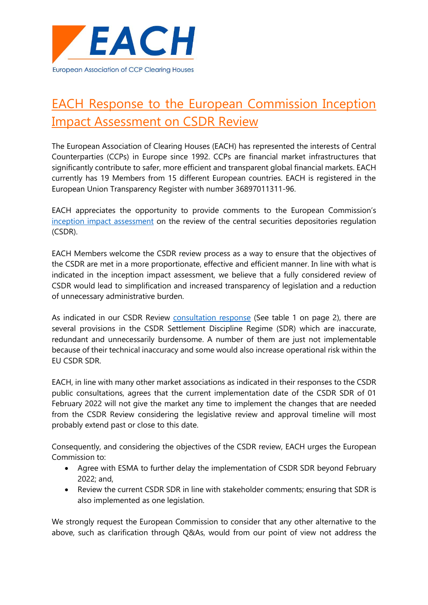

# EACH Response to the European Commission Inception Impact Assessment on CSDR Review

The European Association of Clearing Houses (EACH) has represented the interests of Central Counterparties (CCPs) in Europe since 1992. CCPs are financial market infrastructures that significantly contribute to safer, more efficient and transparent global financial markets. EACH currently has 19 Members from 15 different European countries. EACH is registered in the European Union Transparency Register with number 36897011311-96.

EACH appreciates the opportunity to provide comments to the European Commission's [inception impact assessment](https://ec.europa.eu/info/law/better-regulation/have-your-say/initiatives/12649-Central-securities-depositories-review-of-EU-rules) on the review of the central securities depositories regulation (CSDR).

EACH Members welcome the CSDR review process as a way to ensure that the objectives of the CSDR are met in a more proportionate, effective and efficient manner. In line with what is indicated in the inception impact assessment, we believe that a fully considered review of CSDR would lead to simplification and increased transparency of legislation and a reduction of unnecessary administrative burden.

As indicated in our CSDR Review [consultation response](https://www.eachccp.eu/wp-content/uploads/2021/02/EACH-Response-Targeted-consultation-on-the-review-of-Regulation-on-improving-securities-settlement-in-the-European-Union-and-on-central-securities-depositories.pdf) (See table 1 on page 2), there are several provisions in the CSDR Settlement Discipline Regime (SDR) which are inaccurate, redundant and unnecessarily burdensome. A number of them are just not implementable because of their technical inaccuracy and some would also increase operational risk within the EU CSDR SDR.

EACH, in line with many other market associations as indicated in their responses to the CSDR public consultations, agrees that the current implementation date of the CSDR SDR of 01 February 2022 will not give the market any time to implement the changes that are needed from the CSDR Review considering the legislative review and approval timeline will most probably extend past or close to this date.

Consequently, and considering the objectives of the CSDR review, EACH urges the European Commission to:

- Agree with ESMA to further delay the implementation of CSDR SDR beyond February 2022; and,
- Review the current CSDR SDR in line with stakeholder comments; ensuring that SDR is also implemented as one legislation.

We strongly request the European Commission to consider that any other alternative to the above, such as clarification through Q&As, would from our point of view not address the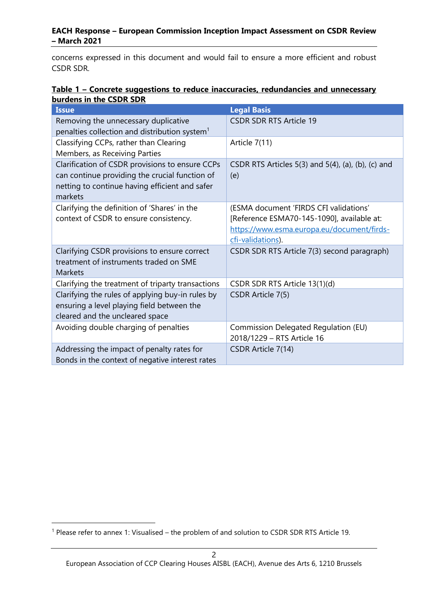## **EACH Response – European Commission Inception Impact Assessment on CSDR Review – March 2021**

concerns expressed in this document and would fail to ensure a more efficient and robust CSDR SDR.

# **Table 1 – Concrete suggestions to reduce inaccuracies, redundancies and unnecessary burdens in the CSDR SDR**

| <b>Issue</b>                                                                                                                                                   | <b>Legal Basis</b>                                                                                                                                      |
|----------------------------------------------------------------------------------------------------------------------------------------------------------------|---------------------------------------------------------------------------------------------------------------------------------------------------------|
| Removing the unnecessary duplicative<br>penalties collection and distribution system <sup>1</sup>                                                              | <b>CSDR SDR RTS Article 19</b>                                                                                                                          |
| Classifying CCPs, rather than Clearing<br>Members, as Receiving Parties                                                                                        | Article 7(11)                                                                                                                                           |
| Clarification of CSDR provisions to ensure CCPs<br>can continue providing the crucial function of<br>netting to continue having efficient and safer<br>markets | CSDR RTS Articles 5(3) and 5(4), (a), (b), (c) and<br>(e)                                                                                               |
| Clarifying the definition of 'Shares' in the<br>context of CSDR to ensure consistency.                                                                         | (ESMA document 'FIRDS CFI validations'<br>[Reference ESMA70-145-1090], available at:<br>https://www.esma.europa.eu/document/firds-<br>cfi-validations). |
| Clarifying CSDR provisions to ensure correct<br>treatment of instruments traded on SME<br>Markets                                                              | CSDR SDR RTS Article 7(3) second paragraph)                                                                                                             |
| Clarifying the treatment of triparty transactions                                                                                                              | CSDR SDR RTS Article 13(1)(d)                                                                                                                           |
| Clarifying the rules of applying buy-in rules by<br>ensuring a level playing field between the<br>cleared and the uncleared space                              | CSDR Article 7(5)                                                                                                                                       |
| Avoiding double charging of penalties                                                                                                                          | Commission Delegated Regulation (EU)<br>2018/1229 - RTS Article 16                                                                                      |
| Addressing the impact of penalty rates for<br>Bonds in the context of negative interest rates                                                                  | CSDR Article 7(14)                                                                                                                                      |

<sup>1</sup> Please refer to annex 1: Visualised – the problem of and solution to CSDR SDR RTS Article 19.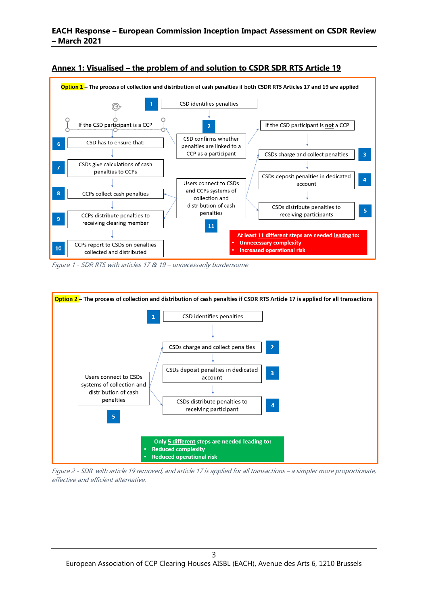

#### **Annex 1: Visualised – the problem of and solution to CSDR SDR RTS Article 19**

Figure 1 - SDR RTS with articles 17 & 19 – unnecessarily burdensome



Figure 2 - SDR with article 19 removed, and article 17 is applied for all transactions – a simpler more proportionate, effective and efficient alternative.